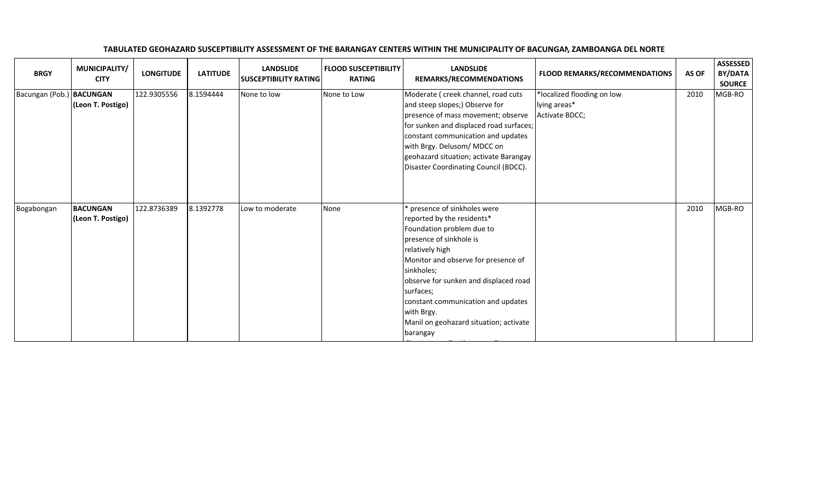| <b>BRGY</b>              | MUNICIPALITY/<br><b>CITY</b>         | <b>LONGITUDE</b> | <b>LATITUDE</b> | <b>LANDSLIDE</b><br><b>SUSCEPTIBILITY RATING</b> | <b>FLOOD SUSCEPTIBILITY</b><br><b>RATING</b> | <b>LANDSLIDE</b><br>REMARKS/RECOMMENDATIONS                                                                                                                                                                                                                                                                                                              | FLOOD REMARKS/RECOMMENDATIONS                                | AS OF | <b>ASSESSED</b><br>BY/DATA<br><b>SOURCE</b> |
|--------------------------|--------------------------------------|------------------|-----------------|--------------------------------------------------|----------------------------------------------|----------------------------------------------------------------------------------------------------------------------------------------------------------------------------------------------------------------------------------------------------------------------------------------------------------------------------------------------------------|--------------------------------------------------------------|-------|---------------------------------------------|
| Bacungan (Pob.) BACUNGAN | (Leon T. Postigo)                    | 122.9305556      | 8.1594444       | None to low                                      | None to Low                                  | Moderate ( creek channel, road cuts<br>and steep slopes;) Observe for<br>presence of mass movement; observe<br>for sunken and displaced road surfaces;<br>constant communication and updates<br>with Brgy. Delusom/ MDCC on<br>geohazard situation; activate Barangay<br>Disaster Coordinating Council (BDCC).                                           | *localized flooding on low<br>lying areas*<br>Activate BDCC; | 2010  | MGB-RO                                      |
| Bogabongan               | <b>BACUNGAN</b><br>(Leon T. Postigo) | 122.8736389      | 8.1392778       | Low to moderate                                  | None                                         | presence of sinkholes were<br>reported by the residents*<br>Foundation problem due to<br>presence of sinkhole is<br>relatively high<br>Monitor and observe for presence of<br>sinkholes;<br>observe for sunken and displaced road<br>surfaces;<br>constant communication and updates<br>with Brgy.<br>Manil on geohazard situation; activate<br>barangay |                                                              | 2010  | MGB-RO                                      |

## TABULATED GEOHAZARD SUSCEPTIBILITY ASSESSMENT OF THE BARANGAY CENTERS WITHIN THE MUNICIPALITY OF BACUNGAN, ZAMBOANGA DEL NORTE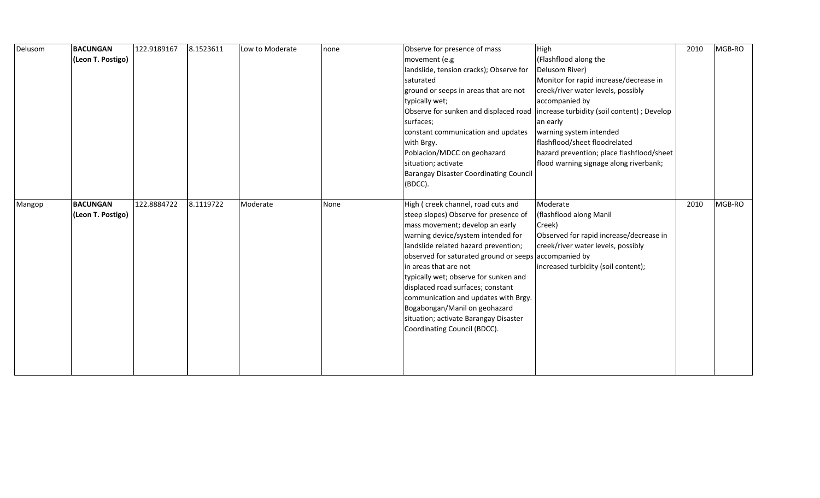| Delusom | <b>BACUNGAN</b><br>(Leon T. Postigo) | 122.9189167 | 8.1523611 | Low to Moderate | none | Observe for presence of mass<br>movement (e.g<br>landslide, tension cracks); Observe for<br>saturated<br>ground or seeps in areas that are not<br>typically wet;<br>surfaces;<br>constant communication and updates<br>with Brgy.<br>Poblacion/MDCC on geohazard<br>situation; activate<br><b>Barangay Disaster Coordinating Council</b><br>(BDCC).                                                                                                                                                            | High<br>(Flashflood along the<br>Delusom River)<br>Monitor for rapid increase/decrease in<br>creek/river water levels, possibly<br>accompanied by<br>Observe for sunken and displaced road lincrease turbidity (soil content); Develop<br>an early<br>warning system intended<br>flashflood/sheet floodrelated<br>hazard prevention; place flashflood/sheet<br>flood warning signage along riverbank; | 2010 | MGB-RO |
|---------|--------------------------------------|-------------|-----------|-----------------|------|----------------------------------------------------------------------------------------------------------------------------------------------------------------------------------------------------------------------------------------------------------------------------------------------------------------------------------------------------------------------------------------------------------------------------------------------------------------------------------------------------------------|-------------------------------------------------------------------------------------------------------------------------------------------------------------------------------------------------------------------------------------------------------------------------------------------------------------------------------------------------------------------------------------------------------|------|--------|
| Mangop  | <b>BACUNGAN</b><br>(Leon T. Postigo) | 122.8884722 | 8.1119722 | Moderate        | None | High (creek channel, road cuts and<br>steep slopes) Observe for presence of<br>mass movement; develop an early<br>warning device/system intended for<br>landslide related hazard prevention;<br>observed for saturated ground or seeps accompanied by<br>in areas that are not<br>typically wet; observe for sunken and<br>displaced road surfaces; constant<br>communication and updates with Brgy.<br>Bogabongan/Manil on geohazard<br>situation; activate Barangay Disaster<br>Coordinating Council (BDCC). | Moderate<br>(flashflood along Manil<br>Creek)<br>Observed for rapid increase/decrease in<br>creek/river water levels, possibly<br>increased turbidity (soil content);                                                                                                                                                                                                                                 | 2010 | MGB-RO |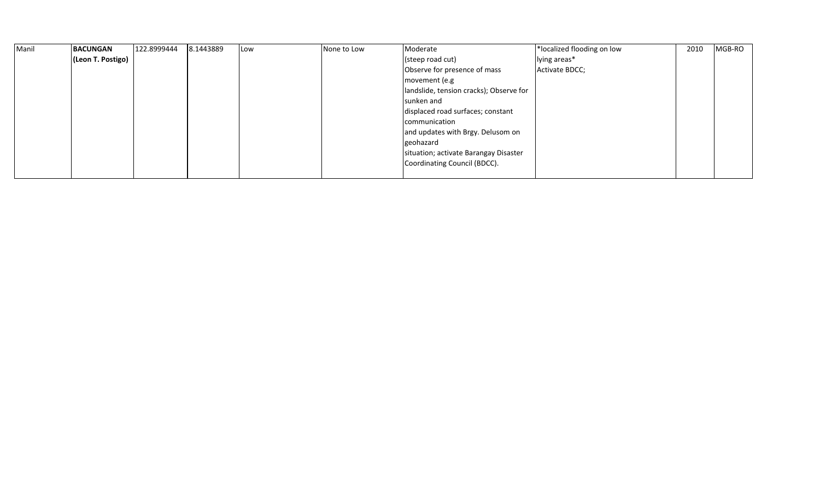| Manil | <b>BACUNGAN</b>   | 122.8999444 | 8.1443889 | Low | None to Low | Moderate                                | *localized flooding on low | 2010 | MGB-RO |
|-------|-------------------|-------------|-----------|-----|-------------|-----------------------------------------|----------------------------|------|--------|
|       | (Leon T. Postigo) |             |           |     |             | (steep road cut)                        | lying areas*               |      |        |
|       |                   |             |           |     |             | Observe for presence of mass            | Activate BDCC;             |      |        |
|       |                   |             |           |     |             | movement (e.g                           |                            |      |        |
|       |                   |             |           |     |             | landslide, tension cracks); Observe for |                            |      |        |
|       |                   |             |           |     |             | sunken and                              |                            |      |        |
|       |                   |             |           |     |             | displaced road surfaces; constant       |                            |      |        |
|       |                   |             |           |     |             | communication                           |                            |      |        |
|       |                   |             |           |     |             | and updates with Brgy. Delusom on       |                            |      |        |
|       |                   |             |           |     |             | geohazard                               |                            |      |        |
|       |                   |             |           |     |             | situation; activate Barangay Disaster   |                            |      |        |
|       |                   |             |           |     |             | Coordinating Council (BDCC).            |                            |      |        |
|       |                   |             |           |     |             |                                         |                            |      |        |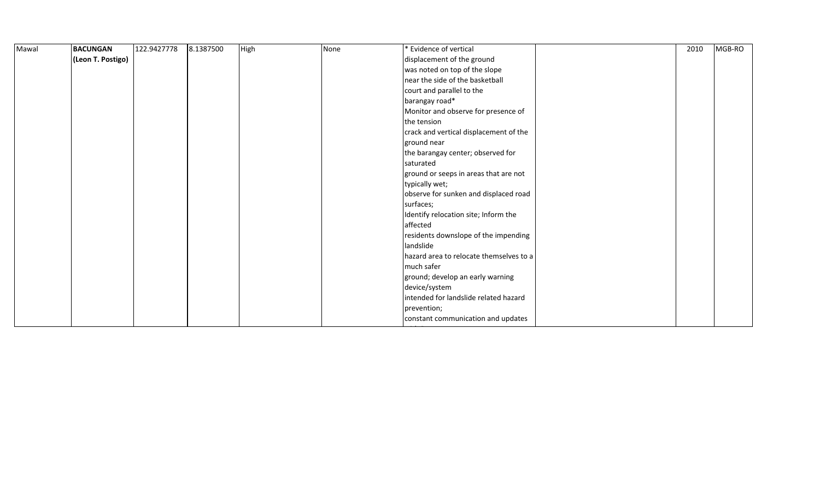| Mawal | <b>BACUNGAN</b>   | 122.9427778 | 8.1387500 | High | None | * Evidence of vertical                  | 2010 | MGB-RO |
|-------|-------------------|-------------|-----------|------|------|-----------------------------------------|------|--------|
|       | (Leon T. Postigo) |             |           |      |      | displacement of the ground              |      |        |
|       |                   |             |           |      |      | was noted on top of the slope           |      |        |
|       |                   |             |           |      |      | near the side of the basketball         |      |        |
|       |                   |             |           |      |      | court and parallel to the               |      |        |
|       |                   |             |           |      |      | barangay road*                          |      |        |
|       |                   |             |           |      |      | Monitor and observe for presence of     |      |        |
|       |                   |             |           |      |      | the tension                             |      |        |
|       |                   |             |           |      |      | crack and vertical displacement of the  |      |        |
|       |                   |             |           |      |      | ground near                             |      |        |
|       |                   |             |           |      |      | the barangay center; observed for       |      |        |
|       |                   |             |           |      |      | saturated                               |      |        |
|       |                   |             |           |      |      | ground or seeps in areas that are not   |      |        |
|       |                   |             |           |      |      | typically wet;                          |      |        |
|       |                   |             |           |      |      | observe for sunken and displaced road   |      |        |
|       |                   |             |           |      |      | surfaces;                               |      |        |
|       |                   |             |           |      |      | Identify relocation site; Inform the    |      |        |
|       |                   |             |           |      |      | affected                                |      |        |
|       |                   |             |           |      |      | residents downslope of the impending    |      |        |
|       |                   |             |           |      |      | landslide                               |      |        |
|       |                   |             |           |      |      | hazard area to relocate themselves to a |      |        |
|       |                   |             |           |      |      | much safer                              |      |        |
|       |                   |             |           |      |      | ground; develop an early warning        |      |        |
|       |                   |             |           |      |      | device/system                           |      |        |
|       |                   |             |           |      |      | intended for landslide related hazard   |      |        |
|       |                   |             |           |      |      | prevention;                             |      |        |
|       |                   |             |           |      |      | constant communication and updates      |      |        |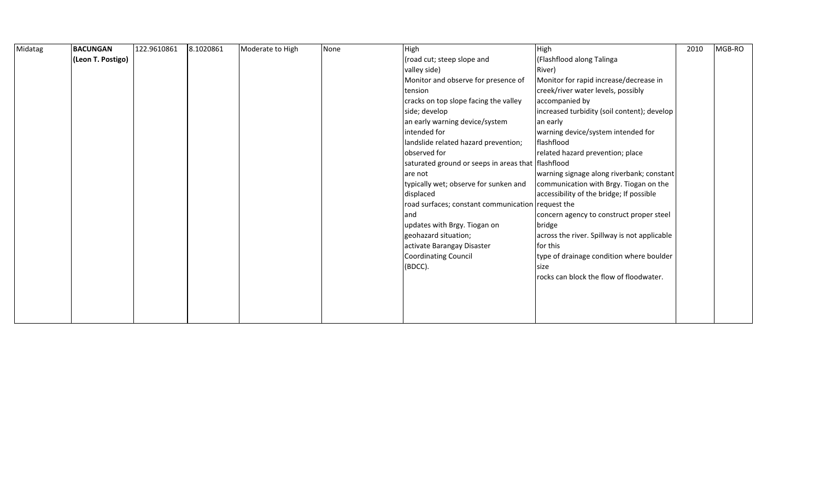| Midatag | <b>BACUNGAN</b>   | 122.9610861 | 8.1020861 | Moderate to High | None | High                                               | High                                         | 2010 | MGB-RO |
|---------|-------------------|-------------|-----------|------------------|------|----------------------------------------------------|----------------------------------------------|------|--------|
|         | (Leon T. Postigo) |             |           |                  |      | (road cut; steep slope and                         | (Flashflood along Talinga                    |      |        |
|         |                   |             |           |                  |      | valley side)                                       | River)                                       |      |        |
|         |                   |             |           |                  |      | Monitor and observe for presence of                | Monitor for rapid increase/decrease in       |      |        |
|         |                   |             |           |                  |      | tension                                            | creek/river water levels, possibly           |      |        |
|         |                   |             |           |                  |      | cracks on top slope facing the valley              | accompanied by                               |      |        |
|         |                   |             |           |                  |      | side; develop                                      | increased turbidity (soil content); develop  |      |        |
|         |                   |             |           |                  |      | an early warning device/system                     | an early                                     |      |        |
|         |                   |             |           |                  |      | intended for                                       | warning device/system intended for           |      |        |
|         |                   |             |           |                  |      | landslide related hazard prevention;               | flashflood                                   |      |        |
|         |                   |             |           |                  |      | observed for                                       | related hazard prevention; place             |      |        |
|         |                   |             |           |                  |      | saturated ground or seeps in areas that flashflood |                                              |      |        |
|         |                   |             |           |                  |      | are not                                            | warning signage along riverbank; constant    |      |        |
|         |                   |             |           |                  |      | typically wet; observe for sunken and              | communication with Brgy. Tiogan on the       |      |        |
|         |                   |             |           |                  |      | displaced                                          | accessibility of the bridge; If possible     |      |        |
|         |                   |             |           |                  |      | road surfaces; constant communication request the  |                                              |      |        |
|         |                   |             |           |                  |      | and                                                | concern agency to construct proper steel     |      |        |
|         |                   |             |           |                  |      | updates with Brgy. Tiogan on                       | bridge                                       |      |        |
|         |                   |             |           |                  |      | geohazard situation;                               | across the river. Spillway is not applicable |      |        |
|         |                   |             |           |                  |      | activate Barangay Disaster                         | for this                                     |      |        |
|         |                   |             |           |                  |      | <b>Coordinating Council</b>                        | type of drainage condition where boulder     |      |        |
|         |                   |             |           |                  |      | (BDCC).                                            | size                                         |      |        |
|         |                   |             |           |                  |      |                                                    | rocks can block the flow of floodwater.      |      |        |
|         |                   |             |           |                  |      |                                                    |                                              |      |        |
|         |                   |             |           |                  |      |                                                    |                                              |      |        |
|         |                   |             |           |                  |      |                                                    |                                              |      |        |
|         |                   |             |           |                  |      |                                                    |                                              |      |        |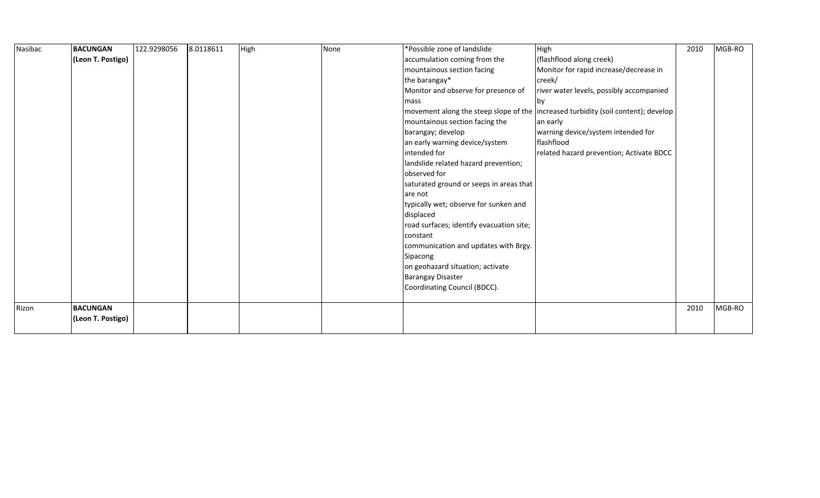| Nasibac | <b>BACUNGAN</b>   | 122.9298056 | 8.0118611 | High | None | *Possible zone of landslide              | High                                                                              | 2010 | MGB-RO |
|---------|-------------------|-------------|-----------|------|------|------------------------------------------|-----------------------------------------------------------------------------------|------|--------|
|         | (Leon T. Postigo) |             |           |      |      | accumulation coming from the             | (flashflood along creek)                                                          |      |        |
|         |                   |             |           |      |      | mountainous section facing               | Monitor for rapid increase/decrease in                                            |      |        |
|         |                   |             |           |      |      | the barangay*                            | creek/                                                                            |      |        |
|         |                   |             |           |      |      | Monitor and observe for presence of      | river water levels, possibly accompanied                                          |      |        |
|         |                   |             |           |      |      | mass                                     | <b>bv</b>                                                                         |      |        |
|         |                   |             |           |      |      |                                          | movement along the steep slope of the increased turbidity (soil content); develop |      |        |
|         |                   |             |           |      |      | mountainous section facing the           | an early                                                                          |      |        |
|         |                   |             |           |      |      | barangay; develop                        | warning device/system intended for                                                |      |        |
|         |                   |             |           |      |      | an early warning device/system           | flashflood                                                                        |      |        |
|         |                   |             |           |      |      | intended for                             | related hazard prevention; Activate BDCC                                          |      |        |
|         |                   |             |           |      |      | landslide related hazard prevention;     |                                                                                   |      |        |
|         |                   |             |           |      |      | observed for                             |                                                                                   |      |        |
|         |                   |             |           |      |      | saturated ground or seeps in areas that  |                                                                                   |      |        |
|         |                   |             |           |      |      | are not                                  |                                                                                   |      |        |
|         |                   |             |           |      |      | typically wet; observe for sunken and    |                                                                                   |      |        |
|         |                   |             |           |      |      | displaced                                |                                                                                   |      |        |
|         |                   |             |           |      |      | road surfaces; identify evacuation site; |                                                                                   |      |        |
|         |                   |             |           |      |      | constant                                 |                                                                                   |      |        |
|         |                   |             |           |      |      | communication and updates with Brgy.     |                                                                                   |      |        |
|         |                   |             |           |      |      | Sipacong                                 |                                                                                   |      |        |
|         |                   |             |           |      |      | on geohazard situation; activate         |                                                                                   |      |        |
|         |                   |             |           |      |      | <b>Barangay Disaster</b>                 |                                                                                   |      |        |
|         |                   |             |           |      |      | Coordinating Council (BDCC).             |                                                                                   |      |        |
|         |                   |             |           |      |      |                                          |                                                                                   |      |        |
| Rizon   | <b>BACUNGAN</b>   |             |           |      |      |                                          |                                                                                   | 2010 | MGB-RO |
|         | (Leon T. Postigo) |             |           |      |      |                                          |                                                                                   |      |        |
|         |                   |             |           |      |      |                                          |                                                                                   |      |        |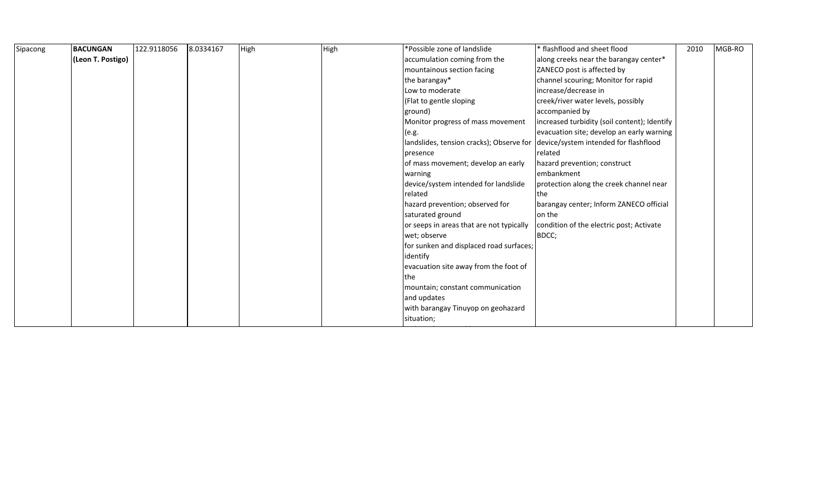| Sipacong | <b>BACUNGAN</b>   | 122.9118056 | 8.0334167 | High | High | *Possible zone of landslide                                                    | * flashflood and sheet flood                 | 2010 | MGB-RO |  |
|----------|-------------------|-------------|-----------|------|------|--------------------------------------------------------------------------------|----------------------------------------------|------|--------|--|
|          | (Leon T. Postigo) |             |           |      |      | accumulation coming from the                                                   | along creeks near the barangay center*       |      |        |  |
|          |                   |             |           |      |      | mountainous section facing                                                     | ZANECO post is affected by                   |      |        |  |
|          |                   |             |           |      |      | the barangay*                                                                  | channel scouring; Monitor for rapid          |      |        |  |
|          |                   |             |           |      |      | Low to moderate                                                                | increase/decrease in                         |      |        |  |
|          |                   |             |           |      |      | (Flat to gentle sloping                                                        | creek/river water levels, possibly           |      |        |  |
|          |                   |             |           |      |      | ground)                                                                        | accompanied by                               |      |        |  |
|          |                   |             |           |      |      | Monitor progress of mass movement                                              | increased turbidity (soil content); Identify |      |        |  |
|          |                   |             |           |      |      | (e.g.                                                                          | evacuation site; develop an early warning    |      |        |  |
|          |                   |             |           |      |      | landslides, tension cracks); Observe for device/system intended for flashflood |                                              |      |        |  |
|          |                   |             |           |      |      | presence                                                                       | related                                      |      |        |  |
|          |                   |             |           |      |      | of mass movement; develop an early                                             | hazard prevention; construct                 |      |        |  |
|          |                   |             |           |      |      | warning                                                                        | embankment                                   |      |        |  |
|          |                   |             |           |      |      | device/system intended for landslide                                           | protection along the creek channel near      |      |        |  |
|          |                   |             |           |      |      | related                                                                        | the                                          |      |        |  |
|          |                   |             |           |      |      | hazard prevention; observed for                                                | barangay center; Inform ZANECO official      |      |        |  |
|          |                   |             |           |      |      | saturated ground                                                               | on the                                       |      |        |  |
|          |                   |             |           |      |      | or seeps in areas that are not typically                                       | condition of the electric post; Activate     |      |        |  |
|          |                   |             |           |      |      | wet; observe                                                                   | BDCC;                                        |      |        |  |
|          |                   |             |           |      |      | for sunken and displaced road surfaces;                                        |                                              |      |        |  |
|          |                   |             |           |      |      | identify                                                                       |                                              |      |        |  |
|          |                   |             |           |      |      | evacuation site away from the foot of                                          |                                              |      |        |  |
|          |                   |             |           |      |      | the                                                                            |                                              |      |        |  |
|          |                   |             |           |      |      | mountain; constant communication                                               |                                              |      |        |  |
|          |                   |             |           |      |      | and updates                                                                    |                                              |      |        |  |
|          |                   |             |           |      |      | with barangay Tinuyop on geohazard                                             |                                              |      |        |  |
|          |                   |             |           |      |      | situation;                                                                     |                                              |      |        |  |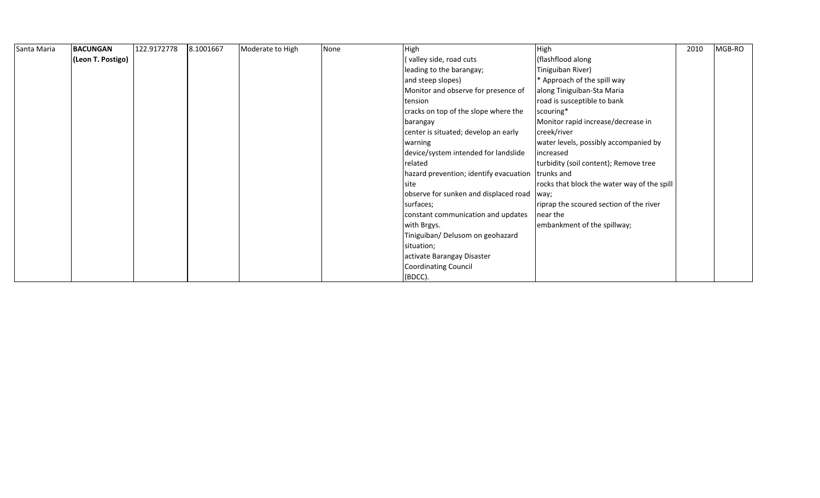| Santa Maria | <b>BACUNGAN</b>   | 122.9172778 | 8.1001667 | Moderate to High | None | High                                   | High                                        | 2010 | MGB-RO |
|-------------|-------------------|-------------|-----------|------------------|------|----------------------------------------|---------------------------------------------|------|--------|
|             | (Leon T. Postigo) |             |           |                  |      | (valley side, road cuts                | (flashflood along                           |      |        |
|             |                   |             |           |                  |      | leading to the barangay;               | Tiniguiban River)                           |      |        |
|             |                   |             |           |                  |      | and steep slopes)                      | * Approach of the spill way                 |      |        |
|             |                   |             |           |                  |      | Monitor and observe for presence of    | along Tiniguiban-Sta Maria                  |      |        |
|             |                   |             |           |                  |      | tension                                | road is susceptible to bank                 |      |        |
|             |                   |             |           |                  |      | cracks on top of the slope where the   | scouring*                                   |      |        |
|             |                   |             |           |                  |      | barangay                               | Monitor rapid increase/decrease in          |      |        |
|             |                   |             |           |                  |      | center is situated; develop an early   | creek/river                                 |      |        |
|             |                   |             |           |                  |      | warning                                | water levels, possibly accompanied by       |      |        |
|             |                   |             |           |                  |      | device/system intended for landslide   | increased                                   |      |        |
|             |                   |             |           |                  |      | related                                | turbidity (soil content); Remove tree       |      |        |
|             |                   |             |           |                  |      | hazard prevention; identify evacuation | trunks and                                  |      |        |
|             |                   |             |           |                  |      | site                                   | rocks that block the water way of the spill |      |        |
|             |                   |             |           |                  |      | observe for sunken and displaced road  | way;                                        |      |        |
|             |                   |             |           |                  |      | surfaces;                              | riprap the scoured section of the river     |      |        |
|             |                   |             |           |                  |      | constant communication and updates     | near the                                    |      |        |
|             |                   |             |           |                  |      | with Brgys.                            | embankment of the spillway;                 |      |        |
|             |                   |             |           |                  |      | Tiniguiban/ Delusom on geohazard       |                                             |      |        |
|             |                   |             |           |                  |      | situation;                             |                                             |      |        |
|             |                   |             |           |                  |      | activate Barangay Disaster             |                                             |      |        |
|             |                   |             |           |                  |      | Coordinating Council                   |                                             |      |        |
|             |                   |             |           |                  |      | (BDCC).                                |                                             |      |        |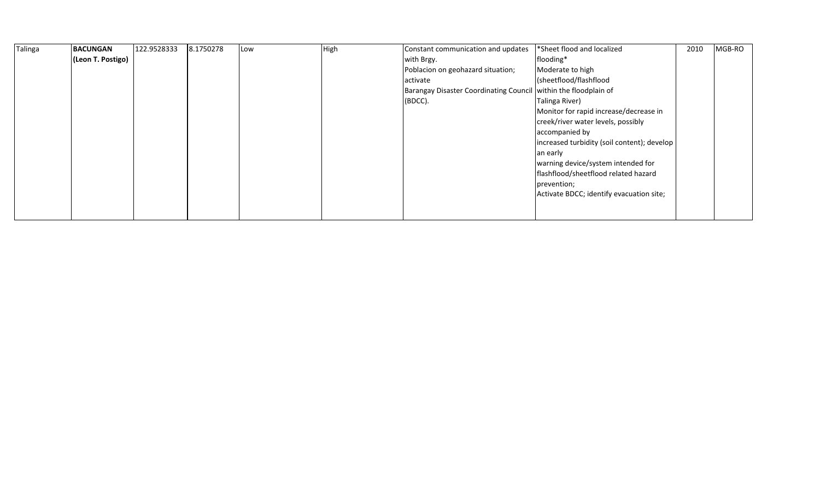| Talinga | <b>BACUNGAN</b>   | 122.9528333 | 8.1750278 | Low | High | Constant communication and updates            | *Sheet flood and localized                  | 2010 | MGB-RO |
|---------|-------------------|-------------|-----------|-----|------|-----------------------------------------------|---------------------------------------------|------|--------|
|         | (Leon T. Postigo) |             |           |     |      | with Brgy.                                    | flooding*                                   |      |        |
|         |                   |             |           |     |      | Poblacion on geohazard situation;             | Moderate to high                            |      |        |
|         |                   |             |           |     |      | activate                                      | (sheetflood/flashflood                      |      |        |
|         |                   |             |           |     |      | <b>Barangay Disaster Coordinating Council</b> | within the floodplain of                    |      |        |
|         |                   |             |           |     |      | (BDCC).                                       | Talinga River)                              |      |        |
|         |                   |             |           |     |      |                                               | Monitor for rapid increase/decrease in      |      |        |
|         |                   |             |           |     |      |                                               | creek/river water levels, possibly          |      |        |
|         |                   |             |           |     |      |                                               | accompanied by                              |      |        |
|         |                   |             |           |     |      |                                               | increased turbidity (soil content); develop |      |        |
|         |                   |             |           |     |      |                                               | an early                                    |      |        |
|         |                   |             |           |     |      |                                               | warning device/system intended for          |      |        |
|         |                   |             |           |     |      |                                               | flashflood/sheetflood related hazard        |      |        |
|         |                   |             |           |     |      |                                               | prevention;                                 |      |        |
|         |                   |             |           |     |      |                                               | Activate BDCC; identify evacuation site;    |      |        |
|         |                   |             |           |     |      |                                               |                                             |      |        |
|         |                   |             |           |     |      |                                               |                                             |      |        |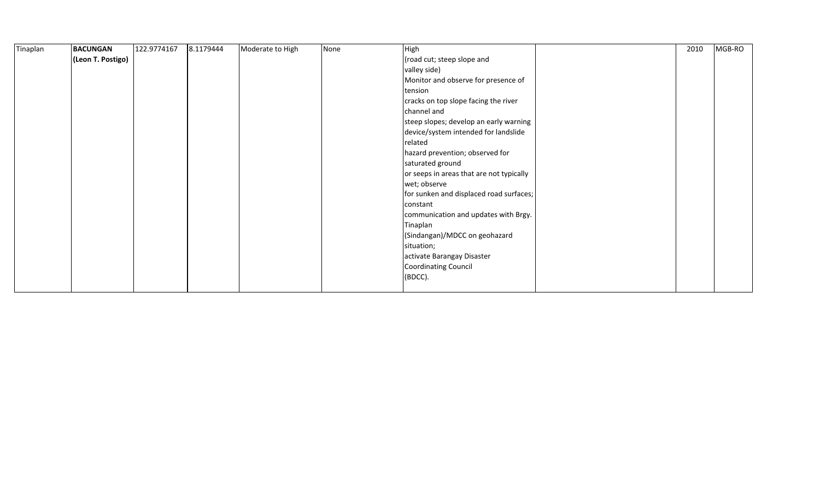| Tinaplan | <b>BACUNGAN</b>   | 122.9774167 | 8.1179444 | Moderate to High | None | High                                     | 2010 | MGB-RO |
|----------|-------------------|-------------|-----------|------------------|------|------------------------------------------|------|--------|
|          | (Leon T. Postigo) |             |           |                  |      | (road cut; steep slope and               |      |        |
|          |                   |             |           |                  |      | valley side)                             |      |        |
|          |                   |             |           |                  |      | Monitor and observe for presence of      |      |        |
|          |                   |             |           |                  |      | tension                                  |      |        |
|          |                   |             |           |                  |      | cracks on top slope facing the river     |      |        |
|          |                   |             |           |                  |      | channel and                              |      |        |
|          |                   |             |           |                  |      | steep slopes; develop an early warning   |      |        |
|          |                   |             |           |                  |      | device/system intended for landslide     |      |        |
|          |                   |             |           |                  |      | related                                  |      |        |
|          |                   |             |           |                  |      | hazard prevention; observed for          |      |        |
|          |                   |             |           |                  |      | saturated ground                         |      |        |
|          |                   |             |           |                  |      | or seeps in areas that are not typically |      |        |
|          |                   |             |           |                  |      | wet; observe                             |      |        |
|          |                   |             |           |                  |      | for sunken and displaced road surfaces;  |      |        |
|          |                   |             |           |                  |      | constant                                 |      |        |
|          |                   |             |           |                  |      | communication and updates with Brgy.     |      |        |
|          |                   |             |           |                  |      | Tinaplan                                 |      |        |
|          |                   |             |           |                  |      | (Sindangan)/MDCC on geohazard            |      |        |
|          |                   |             |           |                  |      | situation;                               |      |        |
|          |                   |             |           |                  |      | activate Barangay Disaster               |      |        |
|          |                   |             |           |                  |      | <b>Coordinating Council</b>              |      |        |
|          |                   |             |           |                  |      | (BDCC).                                  |      |        |
|          |                   |             |           |                  |      |                                          |      |        |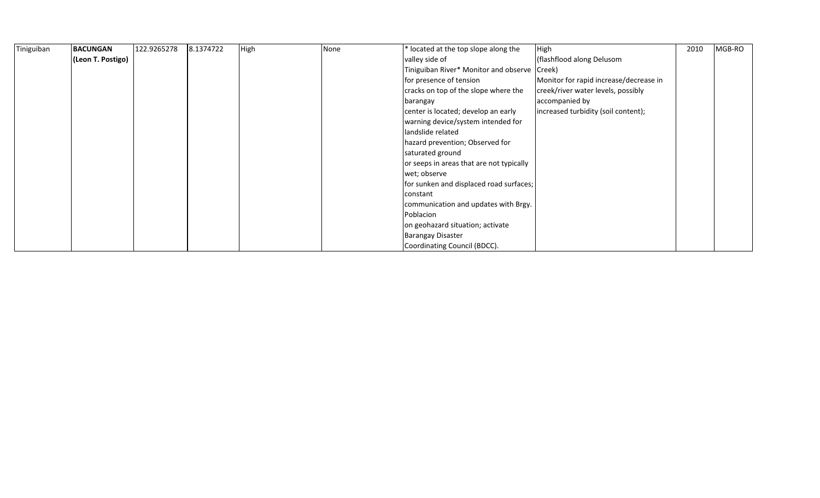| Tiniguiban | <b>BACUNGAN</b>   | 122.9265278 | 8.1374722 | High | None | * located at the top slope along the          | High                                   | 2010 | MGB-RO |
|------------|-------------------|-------------|-----------|------|------|-----------------------------------------------|----------------------------------------|------|--------|
|            | (Leon T. Postigo) |             |           |      |      | valley side of                                | (flashflood along Delusom              |      |        |
|            |                   |             |           |      |      | Tiniguiban River* Monitor and observe (Creek) |                                        |      |        |
|            |                   |             |           |      |      | for presence of tension                       | Monitor for rapid increase/decrease in |      |        |
|            |                   |             |           |      |      | cracks on top of the slope where the          | creek/river water levels, possibly     |      |        |
|            |                   |             |           |      |      | barangay                                      | accompanied by                         |      |        |
|            |                   |             |           |      |      | center is located; develop an early           | increased turbidity (soil content);    |      |        |
|            |                   |             |           |      |      | warning device/system intended for            |                                        |      |        |
|            |                   |             |           |      |      | landslide related                             |                                        |      |        |
|            |                   |             |           |      |      | hazard prevention; Observed for               |                                        |      |        |
|            |                   |             |           |      |      | saturated ground                              |                                        |      |        |
|            |                   |             |           |      |      | or seeps in areas that are not typically      |                                        |      |        |
|            |                   |             |           |      |      | wet; observe                                  |                                        |      |        |
|            |                   |             |           |      |      | for sunken and displaced road surfaces;       |                                        |      |        |
|            |                   |             |           |      |      | constant                                      |                                        |      |        |
|            |                   |             |           |      |      | communication and updates with Brgy.          |                                        |      |        |
|            |                   |             |           |      |      | Poblacion                                     |                                        |      |        |
|            |                   |             |           |      |      | on geohazard situation; activate              |                                        |      |        |
|            |                   |             |           |      |      | <b>Barangay Disaster</b>                      |                                        |      |        |
|            |                   |             |           |      |      | Coordinating Council (BDCC).                  |                                        |      |        |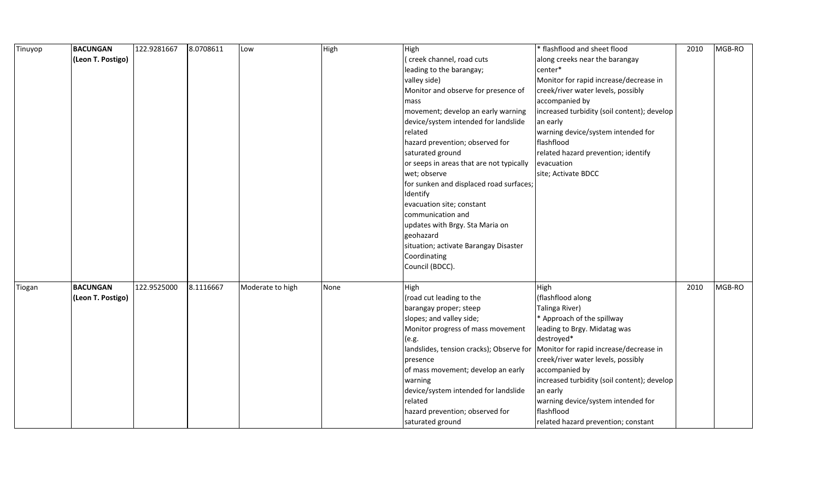| Tinuyop | <b>BACUNGAN</b>   | 122.9281667 | 8.0708611 | Low              | High | High                                     | * flashflood and sheet flood                | 2010 | MGB-RO |
|---------|-------------------|-------------|-----------|------------------|------|------------------------------------------|---------------------------------------------|------|--------|
|         | (Leon T. Postigo) |             |           |                  |      | (creek channel, road cuts                | along creeks near the barangay              |      |        |
|         |                   |             |           |                  |      | leading to the barangay;                 | center*                                     |      |        |
|         |                   |             |           |                  |      | valley side)                             | Monitor for rapid increase/decrease in      |      |        |
|         |                   |             |           |                  |      | Monitor and observe for presence of      | creek/river water levels, possibly          |      |        |
|         |                   |             |           |                  |      | mass                                     | accompanied by                              |      |        |
|         |                   |             |           |                  |      | movement; develop an early warning       | increased turbidity (soil content); develop |      |        |
|         |                   |             |           |                  |      | device/system intended for landslide     | an early                                    |      |        |
|         |                   |             |           |                  |      | related                                  | warning device/system intended for          |      |        |
|         |                   |             |           |                  |      | hazard prevention; observed for          | flashflood                                  |      |        |
|         |                   |             |           |                  |      | saturated ground                         | related hazard prevention; identify         |      |        |
|         |                   |             |           |                  |      | or seeps in areas that are not typically | evacuation                                  |      |        |
|         |                   |             |           |                  |      | wet; observe                             | site; Activate BDCC                         |      |        |
|         |                   |             |           |                  |      | for sunken and displaced road surfaces;  |                                             |      |        |
|         |                   |             |           |                  |      | Identify                                 |                                             |      |        |
|         |                   |             |           |                  |      | evacuation site; constant                |                                             |      |        |
|         |                   |             |           |                  |      | communication and                        |                                             |      |        |
|         |                   |             |           |                  |      | updates with Brgy. Sta Maria on          |                                             |      |        |
|         |                   |             |           |                  |      | geohazard                                |                                             |      |        |
|         |                   |             |           |                  |      | situation; activate Barangay Disaster    |                                             |      |        |
|         |                   |             |           |                  |      | Coordinating                             |                                             |      |        |
|         |                   |             |           |                  |      | Council (BDCC).                          |                                             |      |        |
|         |                   |             |           |                  |      |                                          |                                             |      |        |
| Tiogan  | <b>BACUNGAN</b>   | 122.9525000 | 8.1116667 | Moderate to high | None | High                                     | High                                        | 2010 | MGB-RO |
|         | (Leon T. Postigo) |             |           |                  |      | (road cut leading to the                 | (flashflood along                           |      |        |
|         |                   |             |           |                  |      | barangay proper; steep                   | Talinga River)                              |      |        |
|         |                   |             |           |                  |      | slopes; and valley side;                 | * Approach of the spillway                  |      |        |
|         |                   |             |           |                  |      | Monitor progress of mass movement        | leading to Brgy. Midatag was                |      |        |
|         |                   |             |           |                  |      | (e.g.                                    | destroyed*                                  |      |        |
|         |                   |             |           |                  |      | landslides, tension cracks); Observe for | Monitor for rapid increase/decrease in      |      |        |
|         |                   |             |           |                  |      | presence                                 | creek/river water levels, possibly          |      |        |
|         |                   |             |           |                  |      | of mass movement; develop an early       | accompanied by                              |      |        |
|         |                   |             |           |                  |      | warning                                  | increased turbidity (soil content); develop |      |        |
|         |                   |             |           |                  |      | device/system intended for landslide     | an early                                    |      |        |
|         |                   |             |           |                  |      | related                                  | warning device/system intended for          |      |        |
|         |                   |             |           |                  |      | hazard prevention; observed for          | flashflood                                  |      |        |
|         |                   |             |           |                  |      | saturated ground                         | related hazard prevention; constant         |      |        |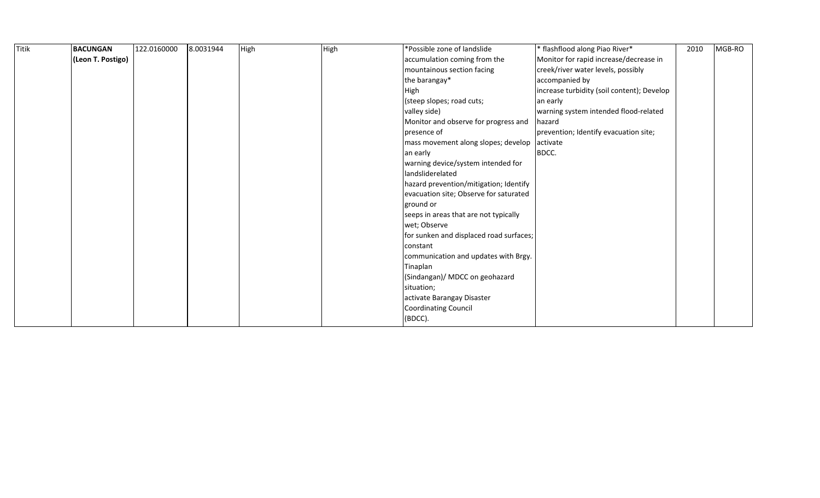| <b>Titik</b> | <b>BACUNGAN</b>   | 122.0160000 | 8.0031944 | High | High | *Possible zone of landslide             | * flashflood along Piao River*             | 2010 | MGB-RO |
|--------------|-------------------|-------------|-----------|------|------|-----------------------------------------|--------------------------------------------|------|--------|
|              | (Leon T. Postigo) |             |           |      |      | accumulation coming from the            | Monitor for rapid increase/decrease in     |      |        |
|              |                   |             |           |      |      | mountainous section facing              | creek/river water levels, possibly         |      |        |
|              |                   |             |           |      |      | the barangay*                           | accompanied by                             |      |        |
|              |                   |             |           |      |      | High                                    | increase turbidity (soil content); Develop |      |        |
|              |                   |             |           |      |      | (steep slopes; road cuts;               | an early                                   |      |        |
|              |                   |             |           |      |      | valley side)                            | warning system intended flood-related      |      |        |
|              |                   |             |           |      |      | Monitor and observe for progress and    | hazard                                     |      |        |
|              |                   |             |           |      |      | presence of                             | prevention; Identify evacuation site;      |      |        |
|              |                   |             |           |      |      | mass movement along slopes; develop     | activate                                   |      |        |
|              |                   |             |           |      |      | an early                                | BDCC.                                      |      |        |
|              |                   |             |           |      |      | warning device/system intended for      |                                            |      |        |
|              |                   |             |           |      |      | landsliderelated                        |                                            |      |        |
|              |                   |             |           |      |      | hazard prevention/mitigation; Identify  |                                            |      |        |
|              |                   |             |           |      |      | evacuation site; Observe for saturated  |                                            |      |        |
|              |                   |             |           |      |      | ground or                               |                                            |      |        |
|              |                   |             |           |      |      | seeps in areas that are not typically   |                                            |      |        |
|              |                   |             |           |      |      | wet; Observe                            |                                            |      |        |
|              |                   |             |           |      |      | for sunken and displaced road surfaces; |                                            |      |        |
|              |                   |             |           |      |      | constant                                |                                            |      |        |
|              |                   |             |           |      |      | communication and updates with Brgy.    |                                            |      |        |
|              |                   |             |           |      |      | Tinaplan                                |                                            |      |        |
|              |                   |             |           |      |      | (Sindangan)/ MDCC on geohazard          |                                            |      |        |
|              |                   |             |           |      |      | situation;                              |                                            |      |        |
|              |                   |             |           |      |      | activate Barangay Disaster              |                                            |      |        |
|              |                   |             |           |      |      | Coordinating Council                    |                                            |      |        |
|              |                   |             |           |      |      | (BDCC).                                 |                                            |      |        |